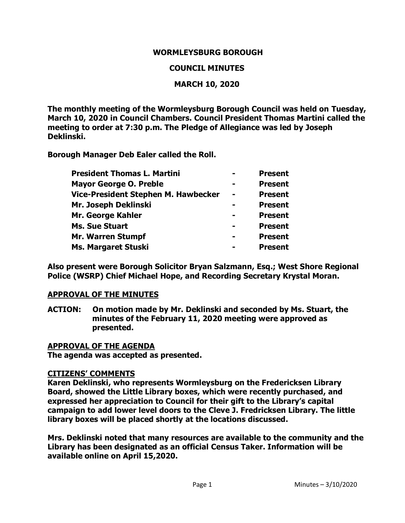### **WORMLEYSBURG BOROUGH**

### **COUNCIL MINUTES**

### **MARCH 10, 2020**

**The monthly meeting of the Wormleysburg Borough Council was held on Tuesday, March 10, 2020 in Council Chambers. Council President Thomas Martini called the meeting to order at 7:30 p.m. The Pledge of Allegiance was led by Joseph Deklinski.**

**Borough Manager Deb Ealer called the Roll.**

| <b>President Thomas L. Martini</b>  | <b>Present</b> |
|-------------------------------------|----------------|
| <b>Mayor George O. Preble</b>       | <b>Present</b> |
| Vice-President Stephen M. Hawbecker | <b>Present</b> |
| Mr. Joseph Deklinski                | <b>Present</b> |
| Mr. George Kahler                   | <b>Present</b> |
| <b>Ms. Sue Stuart</b>               | <b>Present</b> |
| Mr. Warren Stumpf                   | <b>Present</b> |
| <b>Ms. Margaret Stuski</b>          | <b>Present</b> |

**Also present were Borough Solicitor Bryan Salzmann, Esq.; West Shore Regional Police (WSRP) Chief Michael Hope, and Recording Secretary Krystal Moran.**

### **APPROVAL OF THE MINUTES**

**ACTION: On motion made by Mr. Deklinski and seconded by Ms. Stuart, the minutes of the February 11, 2020 meeting were approved as presented.**

### **APPROVAL OF THE AGENDA**

**The agenda was accepted as presented.** 

### **CITIZENS' COMMENTS**

**Karen Deklinski, who represents Wormleysburg on the Fredericksen Library Board, showed the Little Library boxes, which were recently purchased, and expressed her appreciation to Council for their gift to the Library's capital campaign to add lower level doors to the Cleve J. Fredricksen Library. The little library boxes will be placed shortly at the locations discussed.** 

**Mrs. Deklinski noted that many resources are available to the community and the Library has been designated as an official Census Taker. Information will be available online on April 15,2020.**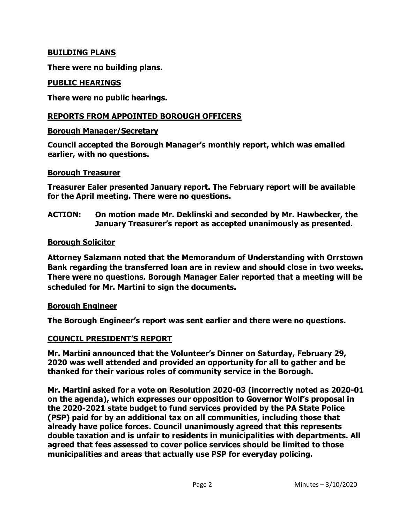### **BUILDING PLANS**

**There were no building plans.** 

### **PUBLIC HEARINGS**

**There were no public hearings.**

## **REPORTS FROM APPOINTED BOROUGH OFFICERS**

#### **Borough Manager/Secretary**

**Council accepted the Borough Manager's monthly report, which was emailed earlier, with no questions.**

#### **Borough Treasurer**

**Treasurer Ealer presented January report. The February report will be available for the April meeting. There were no questions.** 

**ACTION: On motion made Mr. Deklinski and seconded by Mr. Hawbecker, the January Treasurer's report as accepted unanimously as presented.** 

### **Borough Solicitor**

**Attorney Salzmann noted that the Memorandum of Understanding with Orrstown Bank regarding the transferred loan are in review and should close in two weeks. There were no questions. Borough Manager Ealer reported that a meeting will be scheduled for Mr. Martini to sign the documents.** 

### **Borough Engineer**

**The Borough Engineer's report was sent earlier and there were no questions.** 

### **COUNCIL PRESIDENT'S REPORT**

**Mr. Martini announced that the Volunteer's Dinner on Saturday, February 29, 2020 was well attended and provided an opportunity for all to gather and be thanked for their various roles of community service in the Borough.**

**Mr. Martini asked for a vote on Resolution 2020-03 (incorrectly noted as 2020-01 on the agenda), which expresses our opposition to Governor Wolf's proposal in the 2020-2021 state budget to fund services provided by the PA State Police (PSP) paid for by an additional tax on all communities, including those that already have police forces. Council unanimously agreed that this represents double taxation and is unfair to residents in municipalities with departments. All agreed that fees assessed to cover police services should be limited to those municipalities and areas that actually use PSP for everyday policing.**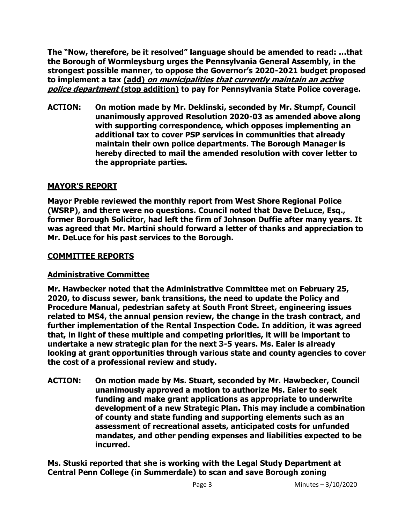**The "Now, therefore, be it resolved" language should be amended to read: …that the Borough of Wormleysburg urges the Pennsylvania General Assembly, in the strongest possible manner, to oppose the Governor's 2020-2021 budget proposed to implement a tax (add) on municipalities that currently maintain an active police department (stop addition) to pay for Pennsylvania State Police coverage.**

**ACTION: On motion made by Mr. Deklinski, seconded by Mr. Stumpf, Council unanimously approved Resolution 2020-03 as amended above along with supporting correspondence, which opposes implementing an additional tax to cover PSP services in communities that already maintain their own police departments. The Borough Manager is hereby directed to mail the amended resolution with cover letter to the appropriate parties.** 

# **MAYOR'S REPORT**

**Mayor Preble reviewed the monthly report from West Shore Regional Police (WSRP), and there were no questions. Council noted that Dave DeLuce, Esq., former Borough Solicitor, had left the firm of Johnson Duffie after many years. It was agreed that Mr. Martini should forward a letter of thanks and appreciation to Mr. DeLuce for his past services to the Borough.** 

## **COMMITTEE REPORTS**

# **Administrative Committee**

**Mr. Hawbecker noted that the Administrative Committee met on February 25, 2020, to discuss sewer, bank transitions, the need to update the Policy and Procedure Manual, pedestrian safety at South Front Street, engineering issues related to MS4, the annual pension review, the change in the trash contract, and further implementation of the Rental Inspection Code. In addition, it was agreed that, in light of these multiple and competing priorities, it will be important to undertake a new strategic plan for the next 3-5 years. Ms. Ealer is already looking at grant opportunities through various state and county agencies to cover the cost of a professional review and study.** 

**ACTION: On motion made by Ms. Stuart, seconded by Mr. Hawbecker, Council unanimously approved a motion to authorize Ms. Ealer to seek funding and make grant applications as appropriate to underwrite development of a new Strategic Plan. This may include a combination of county and state funding and supporting elements such as an assessment of recreational assets, anticipated costs for unfunded mandates, and other pending expenses and liabilities expected to be incurred.** 

**Ms. Stuski reported that she is working with the Legal Study Department at Central Penn College (in Summerdale) to scan and save Borough zoning**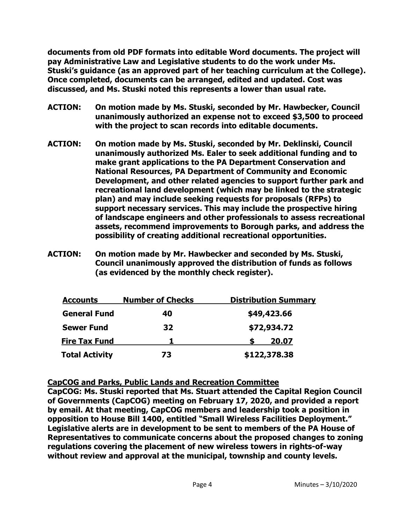**documents from old PDF formats into editable Word documents. The project will pay Administrative Law and Legislative students to do the work under Ms. Stuski's guidance (as an approved part of her teaching curriculum at the College). Once completed, documents can be arranged, edited and updated. Cost was discussed, and Ms. Stuski noted this represents a lower than usual rate.** 

- **ACTION: On motion made by Ms. Stuski, seconded by Mr. Hawbecker, Council unanimously authorized an expense not to exceed \$3,500 to proceed with the project to scan records into editable documents.**
- **ACTION: On motion made by Ms. Stuski, seconded by Mr. Deklinski, Council unanimously authorized Ms. Ealer to seek additional funding and to make grant applications to the PA Department Conservation and National Resources, PA Department of Community and Economic Development, and other related agencies to support further park and recreational land development (which may be linked to the strategic plan) and may include seeking requests for proposals (RFPs) to support necessary services. This may include the prospective hiring of landscape engineers and other professionals to assess recreational assets, recommend improvements to Borough parks, and address the possibility of creating additional recreational opportunities.**
- **ACTION: On motion made by Mr. Hawbecker and seconded by Ms. Stuski, Council unanimously approved the distribution of funds as follows (as evidenced by the monthly check register).**

| <b>Accounts</b>       | <b>Number of Checks</b> | <b>Distribution Summary</b> |  |
|-----------------------|-------------------------|-----------------------------|--|
| <b>General Fund</b>   | 40                      | \$49,423.66                 |  |
| <b>Sewer Fund</b>     | 32                      | \$72,934.72                 |  |
| <b>Fire Tax Fund</b>  |                         | 20.07                       |  |
| <b>Total Activity</b> | 73                      | \$122,378.38                |  |

### **CapCOG and Parks, Public Lands and Recreation Committee**

**CapCOG: Ms. Stuski reported that Ms. Stuart attended the Capital Region Council of Governments (CapCOG) meeting on February 17, 2020, and provided a report by email. At that meeting, CapCOG members and leadership took a position in opposition to House Bill 1400, entitled "Small Wireless Facilities Deployment." Legislative alerts are in development to be sent to members of the PA House of Representatives to communicate concerns about the proposed changes to zoning regulations covering the placement of new wireless towers in rights-of-way without review and approval at the municipal, township and county levels.**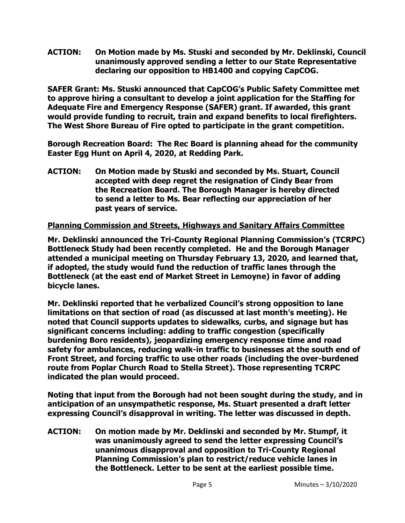**ACTION: On Motion made by Ms. Stuski and seconded by Mr. Deklinski, Council unanimously approved sending a letter to our State Representative declaring our opposition to HB1400 and copying CapCOG.**

**SAFER Grant: Ms. Stuski announced that CapCOG's Public Safety Committee met to approve hiring a consultant to develop a joint application for the Staffing for Adequate Fire and Emergency Response (SAFER) grant. If awarded, this grant would provide funding to recruit, train and expand benefits to local firefighters. The West Shore Bureau of Fire opted to participate in the grant competition.** 

**Borough Recreation Board: The Rec Board is planning ahead for the community Easter Egg Hunt on April 4, 2020, at Redding Park.** 

**ACTION: On Motion made by Stuski and seconded by Ms. Stuart, Council accepted with deep regret the resignation of Cindy Bear from the Recreation Board. The Borough Manager is hereby directed to send a letter to Ms. Bear reflecting our appreciation of her past years of service.** 

# **Planning Commission and Streets, Highways and Sanitary Affairs Committee**

**Mr. Deklinski announced the Tri-County Regional Planning Commission's (TCRPC) Bottleneck Study had been recently completed. He and the Borough Manager attended a municipal meeting on Thursday February 13, 2020, and learned that, if adopted, the study would fund the reduction of traffic lanes through the Bottleneck (at the east end of Market Street in Lemoyne) in favor of adding bicycle lanes.** 

**Mr. Deklinski reported that he verbalized Council's strong opposition to lane limitations on that section of road (as discussed at last month's meeting). He noted that Council supports updates to sidewalks, curbs, and signage but has significant concerns including: adding to traffic congestion (specifically burdening Boro residents), jeopardizing emergency response time and road safety for ambulances, reducing walk-in traffic to businesses at the south end of Front Street, and forcing traffic to use other roads (including the over-burdened route from Poplar Church Road to Stella Street). Those representing TCRPC indicated the plan would proceed.** 

**Noting that input from the Borough had not been sought during the study, and in anticipation of an unsympathetic response, Ms. Stuart presented a draft letter expressing Council's disapproval in writing. The letter was discussed in depth.** 

**ACTION: On motion made by Mr. Deklinski and seconded by Mr. Stumpf, it was unanimously agreed to send the letter expressing Council's unanimous disapproval and opposition to Tri-County Regional Planning Commission's plan to restrict/reduce vehicle lanes in the Bottleneck. Letter to be sent at the earliest possible time.**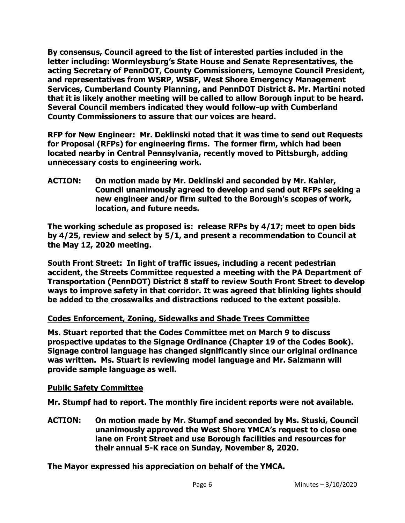**By consensus, Council agreed to the list of interested parties included in the letter including: Wormleysburg's State House and Senate Representatives, the acting Secretary of PennDOT, County Commissioners, Lemoyne Council President, and representatives from WSRP, WSBF, West Shore Emergency Management Services, Cumberland County Planning, and PennDOT District 8. Mr. Martini noted that it is likely another meeting will be called to allow Borough input to be heard. Several Council members indicated they would follow-up with Cumberland County Commissioners to assure that our voices are heard.**

**RFP for New Engineer: Mr. Deklinski noted that it was time to send out Requests for Proposal (RFPs) for engineering firms. The former firm, which had been located nearby in Central Pennsylvania, recently moved to Pittsburgh, adding unnecessary costs to engineering work.** 

**ACTION: On motion made by Mr. Deklinski and seconded by Mr. Kahler, Council unanimously agreed to develop and send out RFPs seeking a new engineer and/or firm suited to the Borough's scopes of work, location, and future needs.** 

**The working schedule as proposed is: release RFPs by 4/17; meet to open bids by 4/25, review and select by 5/1, and present a recommendation to Council at the May 12, 2020 meeting.** 

**South Front Street: In light of traffic issues, including a recent pedestrian accident, the Streets Committee requested a meeting with the PA Department of Transportation (PennDOT) District 8 staff to review South Front Street to develop ways to improve safety in that corridor. It was agreed that blinking lights should be added to the crosswalks and distractions reduced to the extent possible.** 

# **Codes Enforcement, Zoning, Sidewalks and Shade Trees Committee**

**Ms. Stuart reported that the Codes Committee met on March 9 to discuss prospective updates to the Signage Ordinance (Chapter 19 of the Codes Book). Signage control language has changed significantly since our original ordinance was written. Ms. Stuart is reviewing model language and Mr. Salzmann will provide sample language as well.** 

# **Public Safety Committee**

**Mr. Stumpf had to report. The monthly fire incident reports were not available.** 

**ACTION: On motion made by Mr. Stumpf and seconded by Ms. Stuski, Council unanimously approved the West Shore YMCA's request to close one lane on Front Street and use Borough facilities and resources for their annual 5-K race on Sunday, November 8, 2020.** 

**The Mayor expressed his appreciation on behalf of the YMCA.**